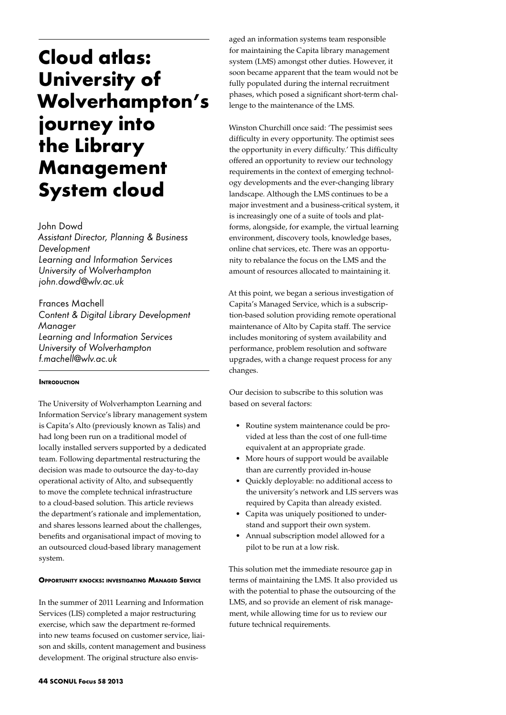# **Cloud atlas: University of Wolverhampton's journey into the Library Management System cloud**

John Dowd

*Assistant Director, Planning & Business Development Learning and Information Services University of Wolverhampton john.dowd@wlv.ac.uk*

Frances Machell *Content & Digital Library Development Manager Learning and Information Services University of Wolverhampton f.machell@wlv.ac.uk*

## **INTRODUCTION**

The University of Wolverhampton Learning and Information Service's library management system is Capita's Alto (previously known as Talis) and had long been run on a traditional model of locally installed servers supported by a dedicated team. Following departmental restructuring the decision was made to outsource the day-to-day operational activity of Alto, and subsequently to move the complete technical infrastructure to a cloud-based solution. This article reviews the department's rationale and implementation, and shares lessons learned about the challenges, benefits and organisational impact of moving to an outsourced cloud-based library management system.

### **Opportunity knocks: investigating Managed Service**

In the summer of 2011 Learning and Information Services (LIS) completed a major restructuring exercise, which saw the department re-formed into new teams focused on customer service, liaison and skills, content management and business development. The original structure also envisaged an information systems team responsible for maintaining the Capita library management system (LMS) amongst other duties. However, it soon became apparent that the team would not be fully populated during the internal recruitment phases, which posed a significant short-term challenge to the maintenance of the LMS.

Winston Churchill once said: 'The pessimist sees difficulty in every opportunity. The optimist sees the opportunity in every difficulty.' This difficulty offered an opportunity to review our technology requirements in the context of emerging technology developments and the ever-changing library landscape. Although the LMS continues to be a major investment and a business-critical system, it is increasingly one of a suite of tools and platforms, alongside, for example, the virtual learning environment, discovery tools, knowledge bases, online chat services, etc. There was an opportunity to rebalance the focus on the LMS and the amount of resources allocated to maintaining it.

At this point, we began a serious investigation of Capita's Managed Service, which is a subscription-based solution providing remote operational maintenance of Alto by Capita staff. The service includes monitoring of system availability and performance, problem resolution and software upgrades, with a change request process for any changes.

Our decision to subscribe to this solution was based on several factors:

- Routine system maintenance could be provided at less than the cost of one full-time equivalent at an appropriate grade.
- More hours of support would be available than are currently provided in-house
- • Quickly deployable: no additional access to the university's network and LIS servers was required by Capita than already existed.
- • Capita was uniquely positioned to understand and support their own system.
- • Annual subscription model allowed for a pilot to be run at a low risk.

This solution met the immediate resource gap in terms of maintaining the LMS. It also provided us with the potential to phase the outsourcing of the LMS, and so provide an element of risk management, while allowing time for us to review our future technical requirements.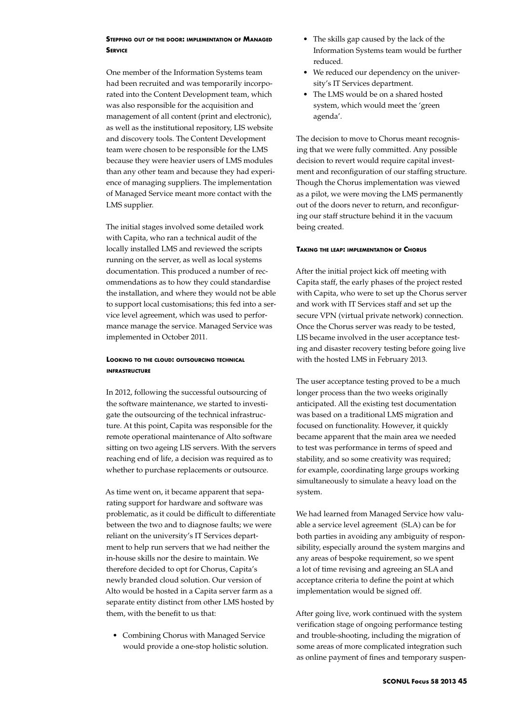## **Stepping out of the door: implementation of Managed Service**

One member of the Information Systems team had been recruited and was temporarily incorporated into the Content Development team, which was also responsible for the acquisition and management of all content (print and electronic), as well as the institutional repository, LIS website and discovery tools. The Content Development team were chosen to be responsible for the LMS because they were heavier users of LMS modules than any other team and because they had experience of managing suppliers. The implementation of Managed Service meant more contact with the LMS supplier.

The initial stages involved some detailed work with Capita, who ran a technical audit of the locally installed LMS and reviewed the scripts running on the server, as well as local systems documentation. This produced a number of recommendations as to how they could standardise the installation, and where they would not be able to support local customisations; this fed into a service level agreement, which was used to performance manage the service. Managed Service was implemented in October 2011.

## **Looking to the cloud: outsourcing technical infrastructure**

In 2012, following the successful outsourcing of the software maintenance, we started to investigate the outsourcing of the technical infrastructure. At this point, Capita was responsible for the remote operational maintenance of Alto software sitting on two ageing LIS servers. With the servers reaching end of life, a decision was required as to whether to purchase replacements or outsource.

As time went on, it became apparent that separating support for hardware and software was problematic, as it could be difficult to differentiate between the two and to diagnose faults; we were reliant on the university's IT Services department to help run servers that we had neither the in-house skills nor the desire to maintain. We therefore decided to opt for Chorus, Capita's newly branded cloud solution. Our version of Alto would be hosted in a Capita server farm as a separate entity distinct from other LMS hosted by them, with the benefit to us that:

• Combining Chorus with Managed Service would provide a one-stop holistic solution.

- The skills gap caused by the lack of the Information Systems team would be further reduced.
- We reduced our dependency on the university's IT Services department.
- The LMS would be on a shared hosted system, which would meet the 'green agenda'.

The decision to move to Chorus meant recognising that we were fully committed. Any possible decision to revert would require capital investment and reconfiguration of our staffing structure. Though the Chorus implementation was viewed as a pilot, we were moving the LMS permanently out of the doors never to return, and reconfiguring our staff structure behind it in the vacuum being created.

## **Taking the leap: implementation of Chorus**

After the initial project kick off meeting with Capita staff, the early phases of the project rested with Capita, who were to set up the Chorus server and work with IT Services staff and set up the secure VPN (virtual private network) connection. Once the Chorus server was ready to be tested, LIS became involved in the user acceptance testing and disaster recovery testing before going live with the hosted LMS in February 2013.

The user acceptance testing proved to be a much longer process than the two weeks originally anticipated. All the existing test documentation was based on a traditional LMS migration and focused on functionality. However, it quickly became apparent that the main area we needed to test was performance in terms of speed and stability, and so some creativity was required; for example, coordinating large groups working simultaneously to simulate a heavy load on the system.

We had learned from Managed Service how valuable a service level agreement (SLA) can be for both parties in avoiding any ambiguity of responsibility, especially around the system margins and any areas of bespoke requirement, so we spent a lot of time revising and agreeing an SLA and acceptance criteria to define the point at which implementation would be signed off.

After going live, work continued with the system verification stage of ongoing performance testing and trouble-shooting, including the migration of some areas of more complicated integration such as online payment of fines and temporary suspen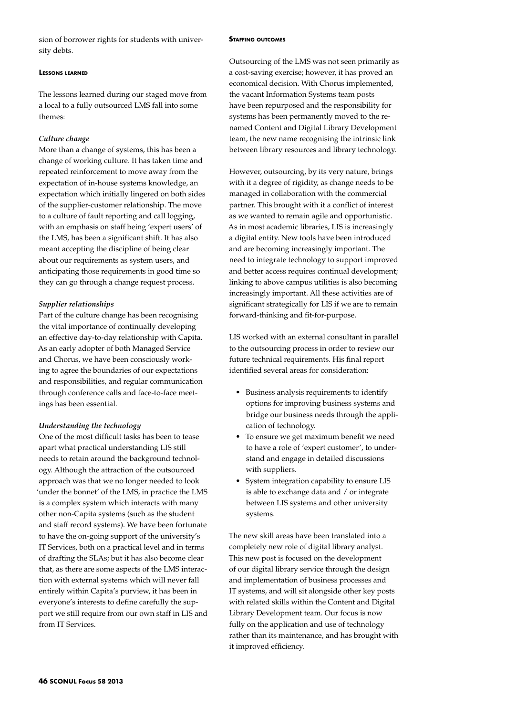sion of borrower rights for students with university debts.

#### **Lessons learned**

The lessons learned during our staged move from a local to a fully outsourced LMS fall into some themes:

## *Culture change*

More than a change of systems, this has been a change of working culture. It has taken time and repeated reinforcement to move away from the expectation of in-house systems knowledge, an expectation which initially lingered on both sides of the supplier-customer relationship. The move to a culture of fault reporting and call logging, with an emphasis on staff being 'expert users' of the LMS, has been a significant shift. It has also meant accepting the discipline of being clear about our requirements as system users, and anticipating those requirements in good time so they can go through a change request process.

#### *Supplier relationships*

Part of the culture change has been recognising the vital importance of continually developing an effective day-to-day relationship with Capita. As an early adopter of both Managed Service and Chorus, we have been consciously working to agree the boundaries of our expectations and responsibilities, and regular communication through conference calls and face-to-face meetings has been essential.

#### *Understanding the technology*

One of the most difficult tasks has been to tease apart what practical understanding LIS still needs to retain around the background technology. Although the attraction of the outsourced approach was that we no longer needed to look 'under the bonnet' of the LMS, in practice the LMS is a complex system which interacts with many other non-Capita systems (such as the student and staff record systems). We have been fortunate to have the on-going support of the university's IT Services, both on a practical level and in terms of drafting the SLAs; but it has also become clear that, as there are some aspects of the LMS interaction with external systems which will never fall entirely within Capita's purview, it has been in everyone's interests to define carefully the support we still require from our own staff in LIS and from IT Services.

#### **Staffing outcomes**

Outsourcing of the LMS was not seen primarily as a cost-saving exercise; however, it has proved an economical decision. With Chorus implemented, the vacant Information Systems team posts have been repurposed and the responsibility for systems has been permanently moved to the renamed Content and Digital Library Development team, the new name recognising the intrinsic link between library resources and library technology.

However, outsourcing, by its very nature, brings with it a degree of rigidity, as change needs to be managed in collaboration with the commercial partner. This brought with it a conflict of interest as we wanted to remain agile and opportunistic. As in most academic libraries, LIS is increasingly a digital entity. New tools have been introduced and are becoming increasingly important. The need to integrate technology to support improved and better access requires continual development; linking to above campus utilities is also becoming increasingly important. All these activities are of significant strategically for LIS if we are to remain forward-thinking and fit-for-purpose.

LIS worked with an external consultant in parallel to the outsourcing process in order to review our future technical requirements. His final report identified several areas for consideration:

- • Business analysis requirements to identify options for improving business systems and bridge our business needs through the application of technology.
- To ensure we get maximum benefit we need to have a role of 'expert customer', to understand and engage in detailed discussions with suppliers.
- • System integration capability to ensure LIS is able to exchange data and / or integrate between LIS systems and other university systems.

The new skill areas have been translated into a completely new role of digital library analyst. This new post is focused on the development of our digital library service through the design and implementation of business processes and IT systems, and will sit alongside other key posts with related skills within the Content and Digital Library Development team. Our focus is now fully on the application and use of technology rather than its maintenance, and has brought with it improved efficiency.